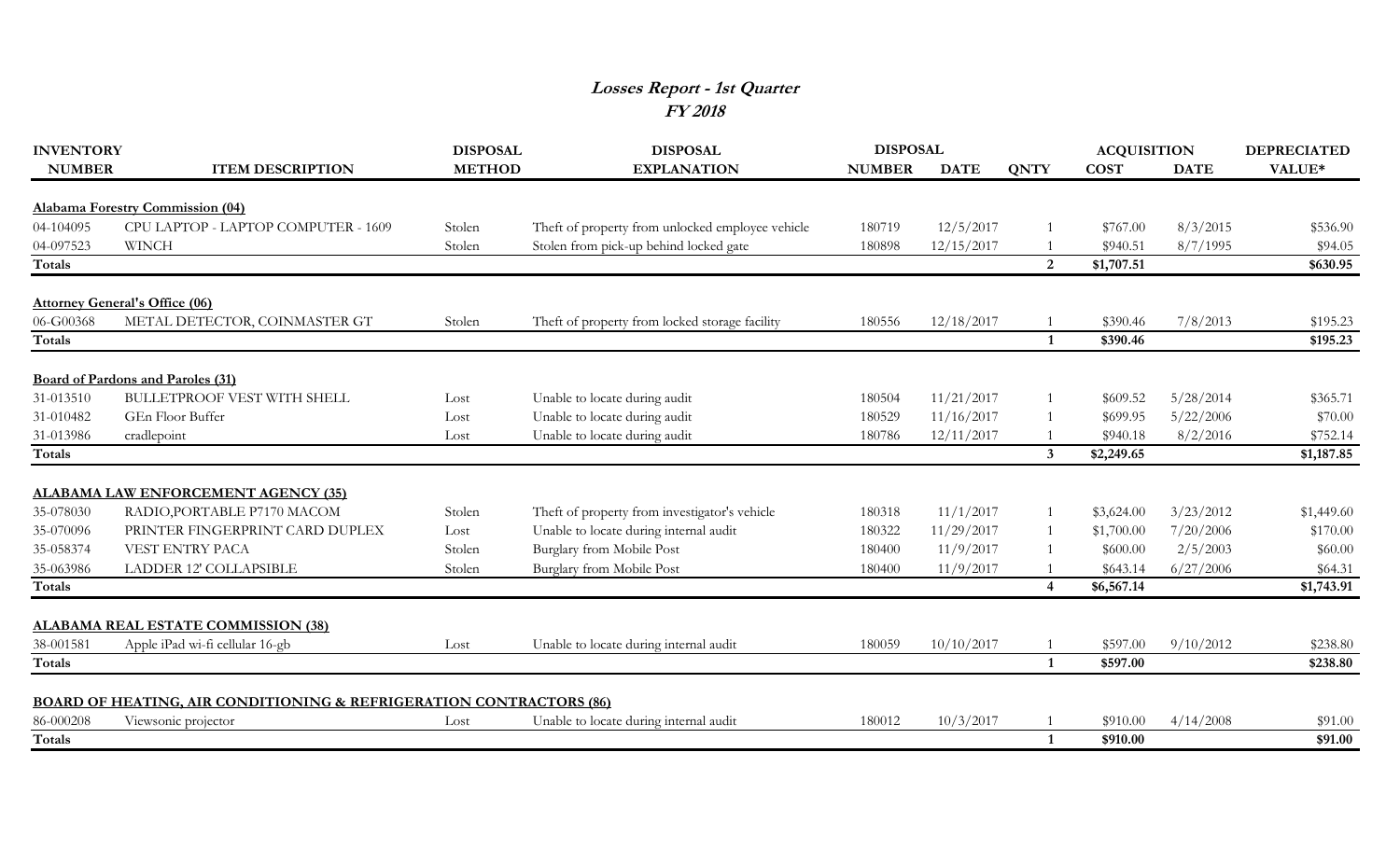## **Losses Report - 1st Quarter FY 2018**

| <b>INVENTORY</b> |                                                                                | <b>DISPOSAL</b> | <b>DISPOSAL</b>                                  | <b>DISPOSAL</b> |             |                | <b>ACQUISITION</b> |             | <b>DEPRECIATED</b> |
|------------------|--------------------------------------------------------------------------------|-----------------|--------------------------------------------------|-----------------|-------------|----------------|--------------------|-------------|--------------------|
| <b>NUMBER</b>    | <b>ITEM DESCRIPTION</b>                                                        | <b>METHOD</b>   | <b>EXPLANATION</b>                               | <b>NUMBER</b>   | <b>DATE</b> | <b>QNTY</b>    | <b>COST</b>        | <b>DATE</b> | VALUE*             |
|                  | <b>Alabama Forestry Commission (04)</b>                                        |                 |                                                  |                 |             |                |                    |             |                    |
| 04-104095        | CPU LAPTOP - LAPTOP COMPUTER - 1609                                            | Stolen          | Theft of property from unlocked employee vehicle | 180719          | 12/5/2017   |                | \$767.00           | 8/3/2015    | \$536.90           |
| 04-097523        | <b>WINCH</b>                                                                   | Stolen          | Stolen from pick-up behind locked gate           | 180898          | 12/15/2017  |                | \$940.51           | 8/7/1995    | \$94.05            |
| Totals           |                                                                                |                 |                                                  |                 |             | $\overline{2}$ | \$1,707.51         |             | \$630.95           |
|                  | <b>Attorney General's Office (06)</b>                                          |                 |                                                  |                 |             |                |                    |             |                    |
| 06-G00368        | METAL DETECTOR, COINMASTER GT                                                  | Stolen          | Theft of property from locked storage facility   | 180556          | 12/18/2017  |                | \$390.46           | 7/8/2013    | \$195.23           |
| Totals           |                                                                                |                 |                                                  |                 |             | $\mathbf{1}$   | \$390.46           |             | \$195.23           |
|                  | <b>Board of Pardons and Paroles (31)</b>                                       |                 |                                                  |                 |             |                |                    |             |                    |
| 31-013510        | <b>BULLETPROOF VEST WITH SHELL</b>                                             | Lost            | Unable to locate during audit                    | 180504          | 11/21/2017  |                | \$609.52           | 5/28/2014   | \$365.71           |
| 31-010482        | GEn Floor Buffer                                                               | Lost            | Unable to locate during audit                    | 180529          | 11/16/2017  |                | \$699.95           | 5/22/2006   | \$70.00            |
| 31-013986        | cradlepoint                                                                    | Lost            | Unable to locate during audit                    | 180786          | 12/11/2017  |                | \$940.18           | 8/2/2016    | \$752.14           |
| Totals           |                                                                                |                 |                                                  |                 |             | $\mathbf{3}$   | \$2,249.65         |             | \$1,187.85         |
|                  | <b>ALABAMA LAW ENFORCEMENT AGENCY (35)</b>                                     |                 |                                                  |                 |             |                |                    |             |                    |
| 35-078030        | RADIO, PORTABLE P7170 MACOM                                                    | Stolen          | Theft of property from investigator's vehicle    | 180318          | 11/1/2017   |                | \$3,624.00         | 3/23/2012   | \$1,449.60         |
| 35-070096        | PRINTER FINGERPRINT CARD DUPLEX                                                | Lost            | Unable to locate during internal audit           | 180322          | 11/29/2017  |                | \$1,700.00         | 7/20/2006   | \$170.00           |
| 35-058374        | VEST ENTRY PACA                                                                | Stolen          | Burglary from Mobile Post                        | 180400          | 11/9/2017   |                | \$600.00           | 2/5/2003    | \$60.00            |
| 35-063986        | LADDER 12' COLLAPSIBLE                                                         | Stolen          | Burglary from Mobile Post                        | 180400          | 11/9/2017   |                | \$643.14           | 6/27/2006   | \$64.31            |
| Totals           |                                                                                |                 |                                                  |                 |             | 4              | \$6,567.14         |             | \$1,743.91         |
|                  |                                                                                |                 |                                                  |                 |             |                |                    |             |                    |
|                  | <b>ALABAMA REAL ESTATE COMMISSION (38)</b>                                     |                 |                                                  |                 |             |                |                    |             |                    |
| 38-001581        | Apple iPad wi-fi cellular 16-gb                                                | Lost            | Unable to locate during internal audit           | 180059          | 10/10/2017  |                | \$597.00           | 9/10/2012   | \$238.80           |
| Totals           |                                                                                |                 |                                                  |                 |             | $\mathbf{1}$   | \$597.00           |             | \$238.80           |
|                  | <b>BOARD OF HEATING, AIR CONDITIONING &amp; REFRIGERATION CONTRACTORS (86)</b> |                 |                                                  |                 |             |                |                    |             |                    |
| 86-000208        | Viewsonic projector                                                            | Lost            | Unable to locate during internal audit           | 180012          | 10/3/2017   |                | \$910.00           | 4/14/2008   | \$91.00            |
| Totals           |                                                                                |                 |                                                  |                 |             | $\mathbf{1}$   | \$910.00           |             | \$91.00            |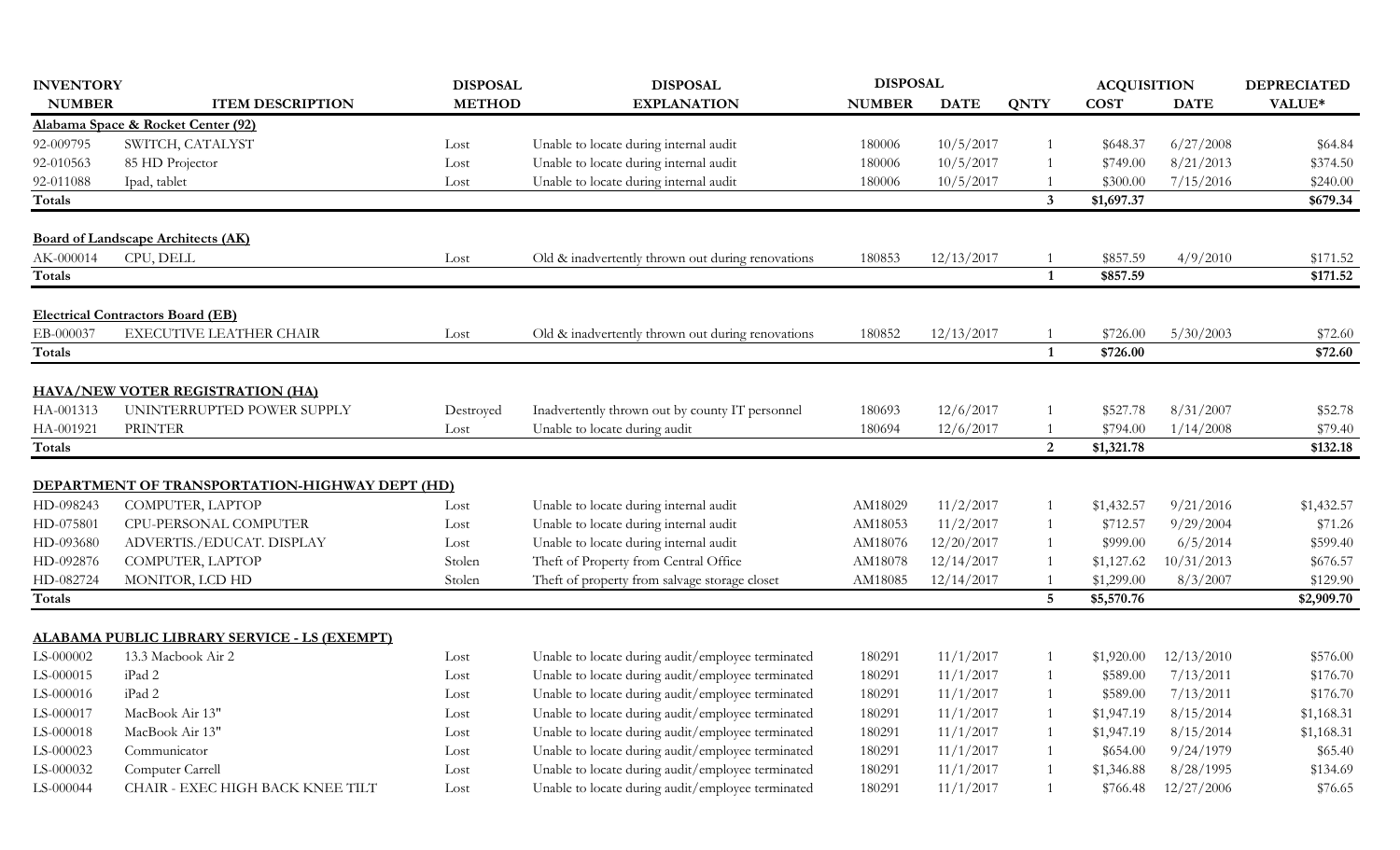| <b>INVENTORY</b>       |                                                       | <b>DISPOSAL</b> | <b>DISPOSAL</b>                                                                  | <b>DISPOSAL</b> |             |                 | <b>ACQUISITION</b>   |                        | <b>DEPRECIATED</b> |
|------------------------|-------------------------------------------------------|-----------------|----------------------------------------------------------------------------------|-----------------|-------------|-----------------|----------------------|------------------------|--------------------|
| <b>NUMBER</b>          | <b>ITEM DESCRIPTION</b>                               | <b>METHOD</b>   | <b>EXPLANATION</b>                                                               | <b>NUMBER</b>   | <b>DATE</b> | <b>QNTY</b>     | <b>COST</b>          | <b>DATE</b>            | VALUE*             |
|                        | Alabama Space & Rocket Center (92)                    |                 |                                                                                  |                 |             |                 |                      |                        |                    |
| 92-009795              | SWITCH, CATALYST                                      | Lost            | Unable to locate during internal audit                                           | 180006          | 10/5/2017   |                 | \$648.37             | 6/27/2008              | \$64.84            |
| 92-010563              | 85 HD Projector                                       | Lost            | Unable to locate during internal audit                                           | 180006          | 10/5/2017   |                 | \$749.00             | 8/21/2013              | \$374.50           |
| 92-011088              | Ipad, tablet                                          | Lost            | Unable to locate during internal audit                                           | 180006          | 10/5/2017   |                 | \$300.00             | 7/15/2016              | \$240.00           |
| Totals                 |                                                       |                 |                                                                                  |                 |             | 3               | \$1,697.37           |                        | \$679.34           |
|                        | <b>Board of Landscape Architects (AK)</b>             |                 |                                                                                  |                 |             |                 |                      |                        |                    |
| AK-000014              | CPU, DELL                                             | Lost            | Old & inadvertently thrown out during renovations                                | 180853          | 12/13/2017  |                 | \$857.59             | 4/9/2010               | \$171.52           |
| <b>Totals</b>          |                                                       |                 |                                                                                  |                 |             | $\mathbf{1}$    | \$857.59             |                        | \$171.52           |
|                        | <b>Electrical Contractors Board (EB)</b>              |                 |                                                                                  |                 |             |                 |                      |                        |                    |
| EB-000037              | EXECUTIVE LEATHER CHAIR                               | Lost            | Old & inadvertently thrown out during renovations                                | 180852          | 12/13/2017  |                 | \$726.00             | 5/30/2003              | \$72.60            |
| Totals                 |                                                       |                 |                                                                                  |                 |             | $\mathbf{1}$    | \$726.00             |                        | \$72.60            |
|                        |                                                       |                 |                                                                                  |                 |             |                 |                      |                        |                    |
|                        | <b>HAVA/NEW VOTER REGISTRATION (HA)</b>               |                 |                                                                                  |                 |             |                 |                      |                        |                    |
| HA-001313<br>HA-001921 | UNINTERRUPTED POWER SUPPLY<br><b>PRINTER</b>          | Destroyed       | Inadvertently thrown out by county IT personnel<br>Unable to locate during audit | 180693          | 12/6/2017   | -1              | \$527.78<br>\$794.00 | 8/31/2007<br>1/14/2008 | \$52.78<br>\$79.40 |
| <b>Totals</b>          |                                                       | Lost            |                                                                                  | 180694          | 12/6/2017   | $\overline{2}$  | \$1,321.78           |                        | \$132.18           |
|                        |                                                       |                 |                                                                                  |                 |             |                 |                      |                        |                    |
|                        | <b>DEPARTMENT OF TRANSPORTATION-HIGHWAY DEPT (HD)</b> |                 |                                                                                  |                 |             |                 |                      |                        |                    |
| HD-098243              | COMPUTER, LAPTOP                                      | Lost            | Unable to locate during internal audit                                           | AM18029         | 11/2/2017   | -1              | \$1,432.57           | 9/21/2016              | \$1,432.57         |
| HD-075801              | CPU-PERSONAL COMPUTER                                 | Lost            | Unable to locate during internal audit                                           | AM18053         | 11/2/2017   |                 | \$712.57             | 9/29/2004              | \$71.26            |
| HD-093680              | ADVERTIS./EDUCAT. DISPLAY                             | Lost            | Unable to locate during internal audit                                           | AM18076         | 12/20/2017  |                 | \$999.00             | 6/5/2014               | \$599.40           |
| HD-092876              | COMPUTER, LAPTOP                                      | Stolen          | Theft of Property from Central Office                                            | AM18078         | 12/14/2017  |                 | \$1,127.62           | 10/31/2013             | \$676.57           |
| HD-082724              | MONITOR, LCD HD                                       | Stolen          | Theft of property from salvage storage closet                                    | AM18085         | 12/14/2017  |                 | \$1,299.00           | 8/3/2007               | \$129.90           |
| Totals                 |                                                       |                 |                                                                                  |                 |             | $5\overline{)}$ | \$5,570.76           |                        | \$2,909.70         |
|                        | <u>ALABAMA PUBLIC LIBRARY SERVICE - LS (EXEMPT)</u>   |                 |                                                                                  |                 |             |                 |                      |                        |                    |
| LS-000002              | 13.3 Macbook Air 2                                    | Lost            | Unable to locate during audit/employee terminated                                | 180291          | 11/1/2017   |                 | \$1,920.00           | 12/13/2010             | \$576.00           |
| LS-000015              | iPad 2                                                | Lost            | Unable to locate during audit/employee terminated                                | 180291          | 11/1/2017   |                 | \$589.00             | 7/13/2011              | \$176.70           |
| LS-000016              | iPad 2                                                | Lost            | Unable to locate during audit/employee terminated                                | 180291          | 11/1/2017   | -1              | \$589.00             | 7/13/2011              | \$176.70           |
| LS-000017              | MacBook Air 13"                                       | Lost            | Unable to locate during audit/employee terminated                                | 180291          | 11/1/2017   | -1              | \$1,947.19           | 8/15/2014              | \$1,168.31         |
| LS-000018              | MacBook Air 13"                                       | Lost            | Unable to locate during audit/employee terminated                                | 180291          | 11/1/2017   | -1              | \$1,947.19           | 8/15/2014              | \$1,168.31         |
| LS-000023              | Communicator                                          | Lost            | Unable to locate during audit/employee terminated                                | 180291          | 11/1/2017   | -1              | \$654.00             | 9/24/1979              | \$65.40            |
| LS-000032              | Computer Carrell                                      | Lost            | Unable to locate during audit/employee terminated                                | 180291          | 11/1/2017   |                 | \$1,346.88           | 8/28/1995              | \$134.69           |
| LS-000044              | CHAIR - EXEC HIGH BACK KNEE TILT                      | Lost            | Unable to locate during audit/employee terminated                                | 180291          | 11/1/2017   | $\mathbf{1}$    | \$766.48             | 12/27/2006             | \$76.65            |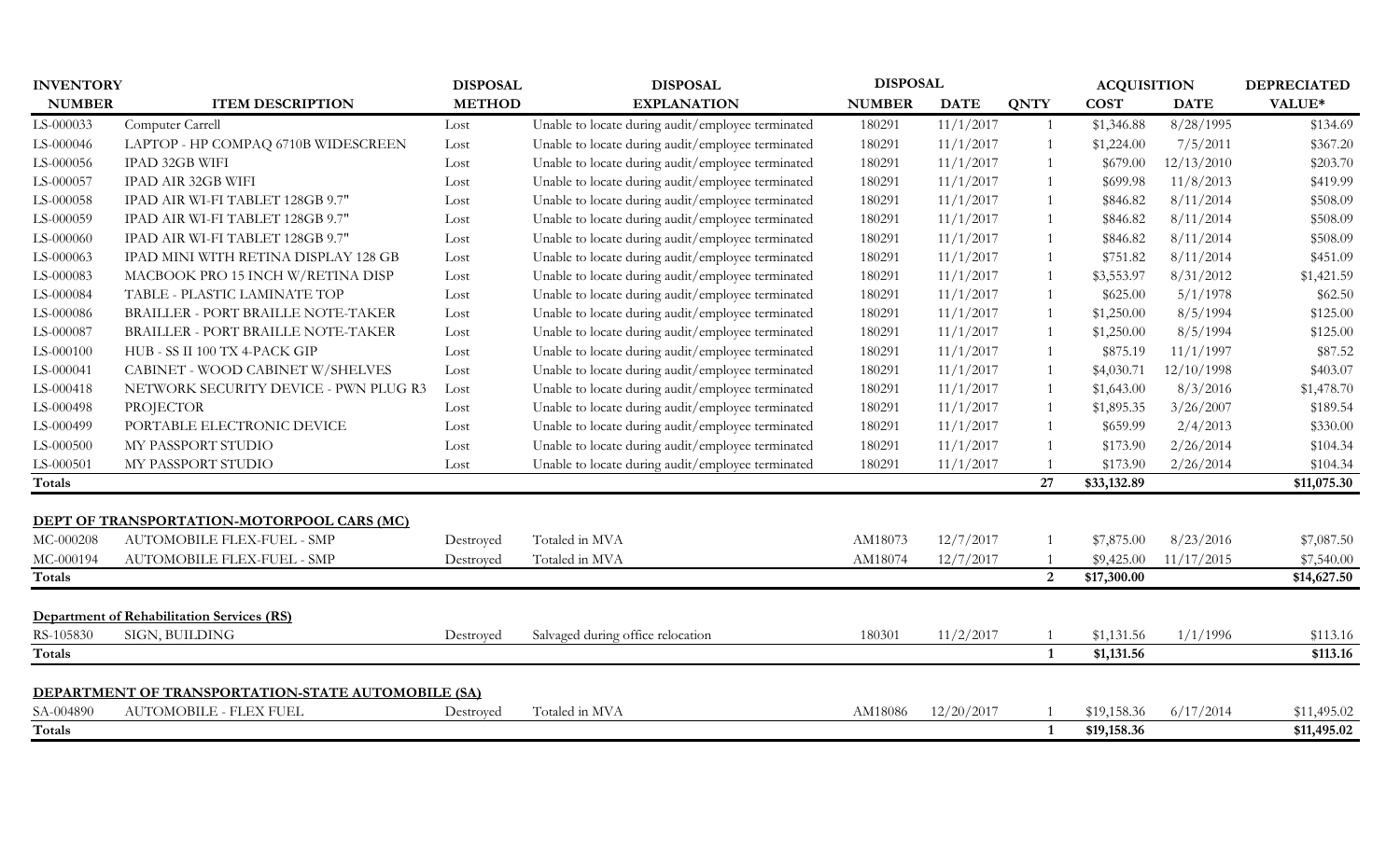| <b>INVENTORY</b> |                                                                                 | <b>DISPOSAL</b><br><b>DISPOSAL</b> |                                                   | <b>DISPOSAL</b> |             |                | <b>ACQUISITION</b> |             | <b>DEPRECIATED</b> |
|------------------|---------------------------------------------------------------------------------|------------------------------------|---------------------------------------------------|-----------------|-------------|----------------|--------------------|-------------|--------------------|
| <b>NUMBER</b>    | <b>ITEM DESCRIPTION</b>                                                         | <b>METHOD</b>                      | <b>EXPLANATION</b>                                | <b>NUMBER</b>   | <b>DATE</b> | <b>QNTY</b>    | <b>COST</b>        | <b>DATE</b> | VALUE*             |
| LS-000033        | Computer Carrell                                                                | Lost                               | Unable to locate during audit/employee terminated | 180291          | 11/1/2017   | -1             | \$1,346.88         | 8/28/1995   | \$134.69           |
| LS-000046        | LAPTOP - HP COMPAQ 6710B WIDESCREEN                                             | Lost                               | Unable to locate during audit/employee terminated | 180291          | 11/1/2017   |                | \$1,224.00         | 7/5/2011    | \$367.20           |
| LS-000056        | IPAD 32GB WIFI                                                                  | Lost                               | Unable to locate during audit/employee terminated | 180291          | 11/1/2017   |                | \$679.00           | 12/13/2010  | \$203.70           |
| LS-000057        | IPAD AIR 32GB WIFI                                                              | Lost                               | Unable to locate during audit/employee terminated | 180291          | 11/1/2017   |                | \$699.98           | 11/8/2013   | \$419.99           |
| LS-000058        | IPAD AIR WI-FI TABLET 128GB 9.7"                                                | Lost                               | Unable to locate during audit/employee terminated | 180291          | 11/1/2017   |                | \$846.82           | 8/11/2014   | \$508.09           |
| LS-000059        | IPAD AIR WI-FI TABLET 128GB 9.7"                                                | Lost                               | Unable to locate during audit/employee terminated | 180291          | 11/1/2017   |                | \$846.82           | 8/11/2014   | \$508.09           |
| LS-000060        | IPAD AIR WI-FI TABLET 128GB 9.7"                                                | Lost                               | Unable to locate during audit/employee terminated | 180291          | 11/1/2017   |                | \$846.82           | 8/11/2014   | \$508.09           |
| LS-000063        | IPAD MINI WITH RETINA DISPLAY 128 GB                                            | Lost                               | Unable to locate during audit/employee terminated | 180291          | 11/1/2017   |                | \$751.82           | 8/11/2014   | \$451.09           |
| LS-000083        | MACBOOK PRO 15 INCH W/RETINA DISP                                               | Lost                               | Unable to locate during audit/employee terminated | 180291          | 11/1/2017   |                | \$3,553.97         | 8/31/2012   | \$1,421.59         |
| LS-000084        | TABLE - PLASTIC LAMINATE TOP                                                    | Lost                               | Unable to locate during audit/employee terminated | 180291          | 11/1/2017   |                | \$625.00           | 5/1/1978    | \$62.50            |
| LS-000086        | BRAILLER - PORT BRAILLE NOTE-TAKER                                              | Lost                               | Unable to locate during audit/employee terminated | 180291          | 11/1/2017   |                | \$1,250.00         | 8/5/1994    | \$125.00           |
| LS-000087        | BRAILLER - PORT BRAILLE NOTE-TAKER                                              | Lost                               | Unable to locate during audit/employee terminated | 180291          | 11/1/2017   |                | \$1,250.00         | 8/5/1994    | \$125.00           |
| LS-000100        | HUB - SS II 100 TX 4-PACK GIP                                                   | Lost                               | Unable to locate during audit/employee terminated | 180291          | 11/1/2017   |                | \$875.19           | 11/1/1997   | \$87.52            |
| LS-000041        | CABINET - WOOD CABINET W/SHELVES                                                | Lost                               | Unable to locate during audit/employee terminated | 180291          | 11/1/2017   | $\overline{1}$ | \$4,030.71         | 12/10/1998  | \$403.07           |
| LS-000418        | NETWORK SECURITY DEVICE - PWN PLUG R3                                           | Lost                               | Unable to locate during audit/employee terminated | 180291          | 11/1/2017   | $\overline{1}$ | \$1,643.00         | 8/3/2016    | \$1,478.70         |
| LS-000498        | PROJECTOR                                                                       | Lost                               | Unable to locate during audit/employee terminated | 180291          | 11/1/2017   | $\overline{1}$ | \$1,895.35         | 3/26/2007   | \$189.54           |
| LS-000499        | PORTABLE ELECTRONIC DEVICE                                                      | Lost                               | Unable to locate during audit/employee terminated | 180291          | 11/1/2017   |                | \$659.99           | 2/4/2013    | \$330.00           |
| LS-000500        | MY PASSPORT STUDIO                                                              | Lost                               | Unable to locate during audit/employee terminated | 180291          | 11/1/2017   |                | \$173.90           | 2/26/2014   | \$104.34           |
| LS-000501        | MY PASSPORT STUDIO                                                              | Lost                               | Unable to locate during audit/employee terminated | 180291          | 11/1/2017   |                | \$173.90           | 2/26/2014   | \$104.34           |
| Totals           |                                                                                 |                                    |                                                   |                 |             | 27             | \$33,132.89        |             | \$11,075.30        |
|                  |                                                                                 |                                    |                                                   |                 |             |                |                    |             |                    |
| MC-000208        | <b>DEPT OF TRANSPORTATION-MOTORPOOL CARS (MC)</b><br>AUTOMOBILE FLEX-FUEL - SMP |                                    | Totaled in MVA                                    | AM18073         | 12/7/2017   |                | \$7,875.00         | 8/23/2016   | \$7,087.50         |
| MC-000194        | AUTOMOBILE FLEX-FUEL - SMP                                                      | Destroyed<br>Destroyed             | Totaled in MVA                                    | AM18074         | 12/7/2017   |                | \$9,425.00         | 11/17/2015  | \$7,540.00         |
| Totals           |                                                                                 |                                    |                                                   |                 |             | 2              | \$17,300.00        |             | \$14,627.50        |
|                  |                                                                                 |                                    |                                                   |                 |             |                |                    |             |                    |
|                  | <b>Department of Rehabilitation Services (RS)</b>                               |                                    |                                                   |                 |             |                |                    |             |                    |
| RS-105830        | SIGN, BUILDING                                                                  | Destroyed                          | Salvaged during office relocation                 | 180301          | 11/2/2017   |                | \$1,131.56         | 1/1/1996    | \$113.16           |
| Totals           |                                                                                 |                                    |                                                   |                 |             | 1              | \$1,131.56         |             | \$113.16           |
|                  | DEPARTMENT OF TRANSPORTATION-STATE AUTOMOBILE (SA)                              |                                    |                                                   |                 |             |                |                    |             |                    |
| SA-004890        | <b>AUTOMOBILE - FLEX FUEL</b>                                                   | Destroyed                          | Totaled in MVA                                    | AM18086         | 12/20/2017  |                | \$19,158.36        | 6/17/2014   | \$11,495.02        |
| Totals           |                                                                                 |                                    |                                                   |                 |             | 1              | \$19,158.36        |             | \$11,495.02        |
|                  |                                                                                 |                                    |                                                   |                 |             |                |                    |             |                    |